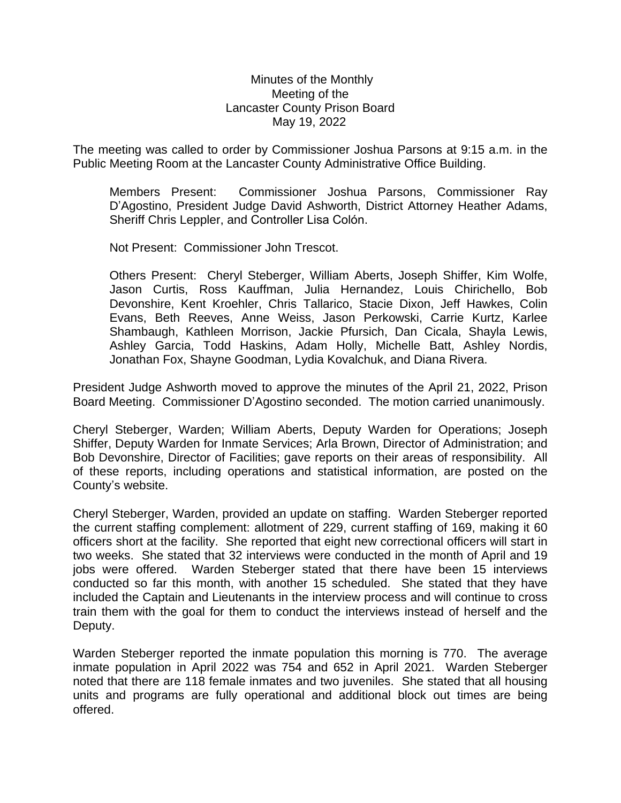## Minutes of the Monthly Meeting of the Lancaster County Prison Board May 19, 2022

The meeting was called to order by Commissioner Joshua Parsons at 9:15 a.m. in the Public Meeting Room at the Lancaster County Administrative Office Building.

Members Present: Commissioner Joshua Parsons, Commissioner Ray D'Agostino, President Judge David Ashworth, District Attorney Heather Adams, Sheriff Chris Leppler, and Controller Lisa Colón.

Not Present: Commissioner John Trescot.

Others Present: Cheryl Steberger, William Aberts, Joseph Shiffer, Kim Wolfe, Jason Curtis, Ross Kauffman, Julia Hernandez, Louis Chirichello, Bob Devonshire, Kent Kroehler, Chris Tallarico, Stacie Dixon, Jeff Hawkes, Colin Evans, Beth Reeves, Anne Weiss, Jason Perkowski, Carrie Kurtz, Karlee Shambaugh, Kathleen Morrison, Jackie Pfursich, Dan Cicala, Shayla Lewis, Ashley Garcia, Todd Haskins, Adam Holly, Michelle Batt, Ashley Nordis, Jonathan Fox, Shayne Goodman, Lydia Kovalchuk, and Diana Rivera.

President Judge Ashworth moved to approve the minutes of the April 21, 2022, Prison Board Meeting. Commissioner D'Agostino seconded. The motion carried unanimously.

Cheryl Steberger, Warden; William Aberts, Deputy Warden for Operations; Joseph Shiffer, Deputy Warden for Inmate Services; Arla Brown, Director of Administration; and Bob Devonshire, Director of Facilities; gave reports on their areas of responsibility. All of these reports, including operations and statistical information, are posted on the County's website.

Cheryl Steberger, Warden, provided an update on staffing. Warden Steberger reported the current staffing complement: allotment of 229, current staffing of 169, making it 60 officers short at the facility. She reported that eight new correctional officers will start in two weeks. She stated that 32 interviews were conducted in the month of April and 19 jobs were offered. Warden Steberger stated that there have been 15 interviews conducted so far this month, with another 15 scheduled. She stated that they have included the Captain and Lieutenants in the interview process and will continue to cross train them with the goal for them to conduct the interviews instead of herself and the Deputy.

Warden Steberger reported the inmate population this morning is 770. The average inmate population in April 2022 was 754 and 652 in April 2021. Warden Steberger noted that there are 118 female inmates and two juveniles. She stated that all housing units and programs are fully operational and additional block out times are being offered.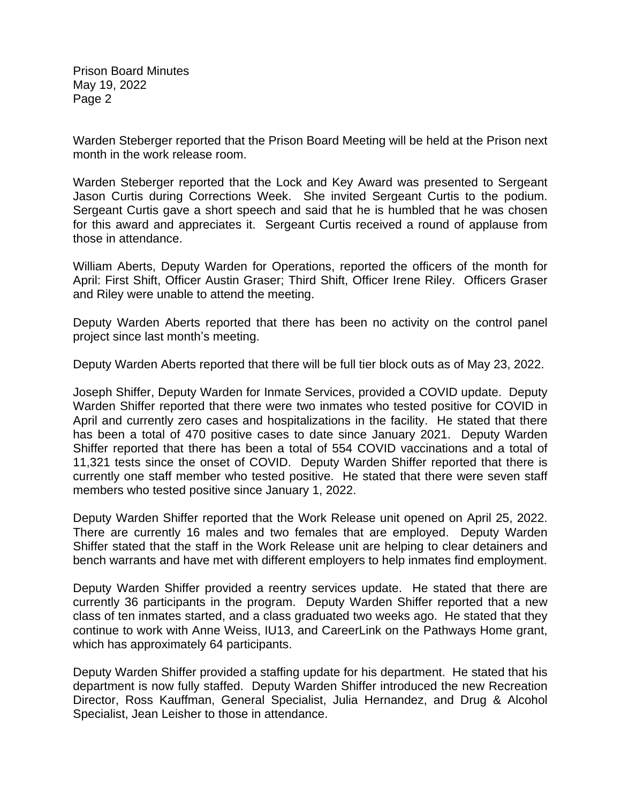Warden Steberger reported that the Prison Board Meeting will be held at the Prison next month in the work release room.

Warden Steberger reported that the Lock and Key Award was presented to Sergeant Jason Curtis during Corrections Week. She invited Sergeant Curtis to the podium. Sergeant Curtis gave a short speech and said that he is humbled that he was chosen for this award and appreciates it. Sergeant Curtis received a round of applause from those in attendance.

William Aberts, Deputy Warden for Operations, reported the officers of the month for April: First Shift, Officer Austin Graser; Third Shift, Officer Irene Riley. Officers Graser and Riley were unable to attend the meeting.

Deputy Warden Aberts reported that there has been no activity on the control panel project since last month's meeting.

Deputy Warden Aberts reported that there will be full tier block outs as of May 23, 2022.

Joseph Shiffer, Deputy Warden for Inmate Services, provided a COVID update. Deputy Warden Shiffer reported that there were two inmates who tested positive for COVID in April and currently zero cases and hospitalizations in the facility. He stated that there has been a total of 470 positive cases to date since January 2021. Deputy Warden Shiffer reported that there has been a total of 554 COVID vaccinations and a total of 11,321 tests since the onset of COVID. Deputy Warden Shiffer reported that there is currently one staff member who tested positive. He stated that there were seven staff members who tested positive since January 1, 2022.

Deputy Warden Shiffer reported that the Work Release unit opened on April 25, 2022. There are currently 16 males and two females that are employed. Deputy Warden Shiffer stated that the staff in the Work Release unit are helping to clear detainers and bench warrants and have met with different employers to help inmates find employment.

Deputy Warden Shiffer provided a reentry services update. He stated that there are currently 36 participants in the program. Deputy Warden Shiffer reported that a new class of ten inmates started, and a class graduated two weeks ago. He stated that they continue to work with Anne Weiss, IU13, and CareerLink on the Pathways Home grant, which has approximately 64 participants.

Deputy Warden Shiffer provided a staffing update for his department. He stated that his department is now fully staffed. Deputy Warden Shiffer introduced the new Recreation Director, Ross Kauffman, General Specialist, Julia Hernandez, and Drug & Alcohol Specialist, Jean Leisher to those in attendance.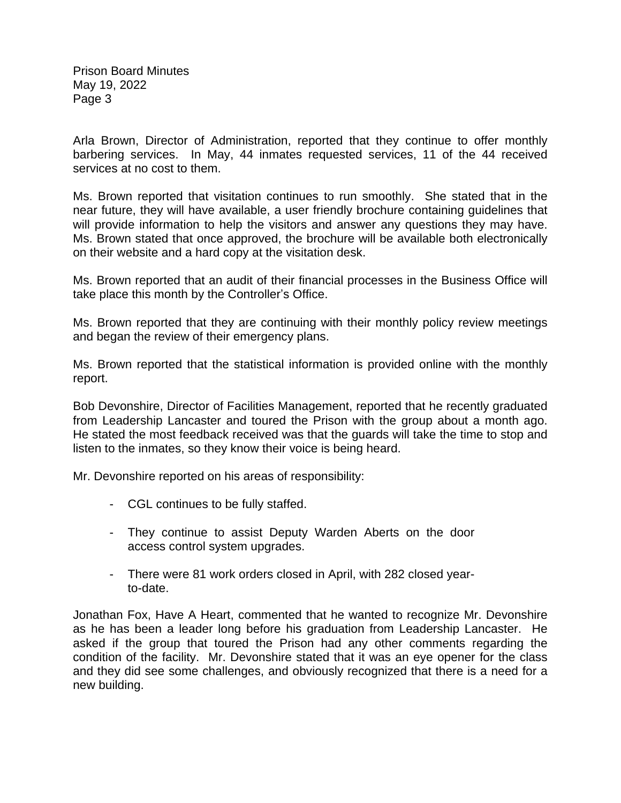Arla Brown, Director of Administration, reported that they continue to offer monthly barbering services. In May, 44 inmates requested services, 11 of the 44 received services at no cost to them.

Ms. Brown reported that visitation continues to run smoothly. She stated that in the near future, they will have available, a user friendly brochure containing guidelines that will provide information to help the visitors and answer any questions they may have. Ms. Brown stated that once approved, the brochure will be available both electronically on their website and a hard copy at the visitation desk.

Ms. Brown reported that an audit of their financial processes in the Business Office will take place this month by the Controller's Office.

Ms. Brown reported that they are continuing with their monthly policy review meetings and began the review of their emergency plans.

Ms. Brown reported that the statistical information is provided online with the monthly report.

Bob Devonshire, Director of Facilities Management, reported that he recently graduated from Leadership Lancaster and toured the Prison with the group about a month ago. He stated the most feedback received was that the guards will take the time to stop and listen to the inmates, so they know their voice is being heard.

Mr. Devonshire reported on his areas of responsibility:

- CGL continues to be fully staffed.
- They continue to assist Deputy Warden Aberts on the door access control system upgrades.
- There were 81 work orders closed in April, with 282 closed yearto-date.

Jonathan Fox, Have A Heart, commented that he wanted to recognize Mr. Devonshire as he has been a leader long before his graduation from Leadership Lancaster. He asked if the group that toured the Prison had any other comments regarding the condition of the facility. Mr. Devonshire stated that it was an eye opener for the class and they did see some challenges, and obviously recognized that there is a need for a new building.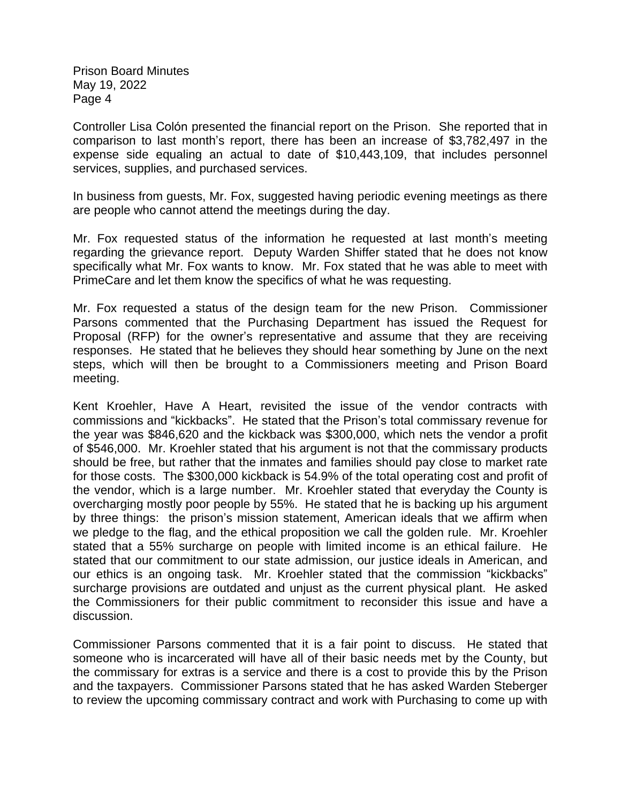Controller Lisa Colón presented the financial report on the Prison. She reported that in comparison to last month's report, there has been an increase of \$3,782,497 in the expense side equaling an actual to date of \$10,443,109, that includes personnel services, supplies, and purchased services.

In business from guests, Mr. Fox, suggested having periodic evening meetings as there are people who cannot attend the meetings during the day.

Mr. Fox requested status of the information he requested at last month's meeting regarding the grievance report. Deputy Warden Shiffer stated that he does not know specifically what Mr. Fox wants to know. Mr. Fox stated that he was able to meet with PrimeCare and let them know the specifics of what he was requesting.

Mr. Fox requested a status of the design team for the new Prison. Commissioner Parsons commented that the Purchasing Department has issued the Request for Proposal (RFP) for the owner's representative and assume that they are receiving responses. He stated that he believes they should hear something by June on the next steps, which will then be brought to a Commissioners meeting and Prison Board meeting.

Kent Kroehler, Have A Heart, revisited the issue of the vendor contracts with commissions and "kickbacks". He stated that the Prison's total commissary revenue for the year was \$846,620 and the kickback was \$300,000, which nets the vendor a profit of \$546,000. Mr. Kroehler stated that his argument is not that the commissary products should be free, but rather that the inmates and families should pay close to market rate for those costs. The \$300,000 kickback is 54.9% of the total operating cost and profit of the vendor, which is a large number. Mr. Kroehler stated that everyday the County is overcharging mostly poor people by 55%. He stated that he is backing up his argument by three things: the prison's mission statement, American ideals that we affirm when we pledge to the flag, and the ethical proposition we call the golden rule. Mr. Kroehler stated that a 55% surcharge on people with limited income is an ethical failure. He stated that our commitment to our state admission, our justice ideals in American, and our ethics is an ongoing task. Mr. Kroehler stated that the commission "kickbacks" surcharge provisions are outdated and unjust as the current physical plant. He asked the Commissioners for their public commitment to reconsider this issue and have a discussion.

Commissioner Parsons commented that it is a fair point to discuss. He stated that someone who is incarcerated will have all of their basic needs met by the County, but the commissary for extras is a service and there is a cost to provide this by the Prison and the taxpayers. Commissioner Parsons stated that he has asked Warden Steberger to review the upcoming commissary contract and work with Purchasing to come up with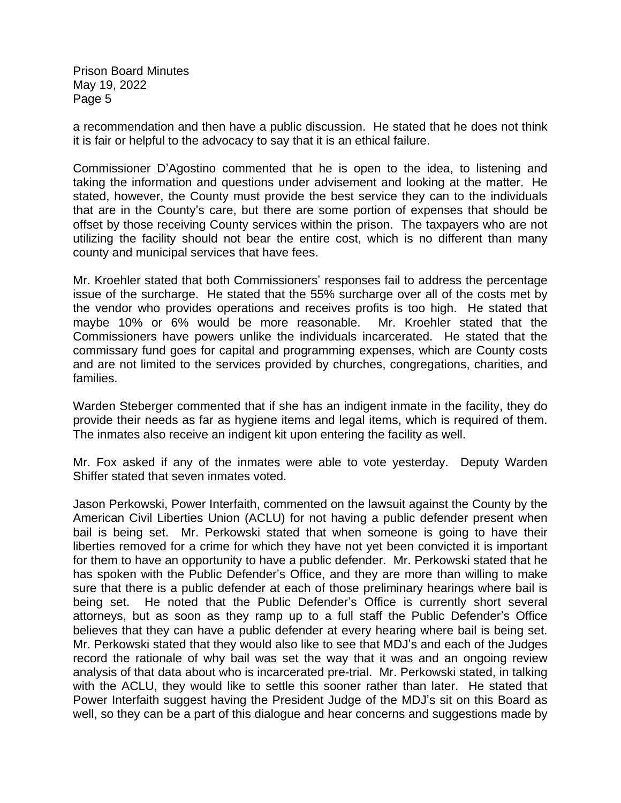a recommendation and then have a public discussion. He stated that he does not think it is fair or helpful to the advocacy to say that it is an ethical failure.

Commissioner D'Agostino commented that he is open to the idea, to listening and taking the information and questions under advisement and looking at the matter. He stated, however, the County must provide the best service they can to the individuals that are in the County's care, but there are some portion of expenses that should be offset by those receiving County services within the prison. The taxpayers who are not utilizing the facility should not bear the entire cost, which is no different than many county and municipal services that have fees.

Mr. Kroehler stated that both Commissioners' responses fail to address the percentage issue of the surcharge. He stated that the 55% surcharge over all of the costs met by the vendor who provides operations and receives profits is too high. He stated that maybe 10% or 6% would be more reasonable. Mr. Kroehler stated that the Commissioners have powers unlike the individuals incarcerated. He stated that the commissary fund goes for capital and programming expenses, which are County costs and are not limited to the services provided by churches, congregations, charities, and families.

Warden Steberger commented that if she has an indigent inmate in the facility, they do provide their needs as far as hygiene items and legal items, which is required of them. The inmates also receive an indigent kit upon entering the facility as well.

Mr. Fox asked if any of the inmates were able to vote yesterday. Deputy Warden Shiffer stated that seven inmates voted.

Jason Perkowski, Power Interfaith, commented on the lawsuit against the County by the [American](https://www.bing.com/ck/a?!&&p=8ef0f3316971ae49a97e0b8df2b1e0baf4eb36acbf49711a1aeea8730019245fJmltdHM9MTY1NDcxMTY2MyZpZ3VpZD1lYWNlNjI5Zi0zYjk3LTQ2NWEtODk1OS0yOTFmNTRiNDU0YmEmaW5zaWQ9NTU1MQ&ptn=3&fclid=e47f7171-e755-11ec-a3ce-7500c8f05ada&u=a1aHR0cHM6Ly93d3cuYWNsdS5vcmcv&ntb=1) Civil Liberties Union (ACLU) for not having a public defender present when bail is being set. Mr. Perkowski stated that when someone is going to have their liberties removed for a crime for which they have not yet been convicted it is important for them to have an opportunity to have a public defender. Mr. Perkowski stated that he has spoken with the Public Defender's Office, and they are more than willing to make sure that there is a public defender at each of those preliminary hearings where bail is being set. He noted that the Public Defender's Office is currently short several attorneys, but as soon as they ramp up to a full staff the Public Defender's Office believes that they can have a public defender at every hearing where bail is being set. Mr. Perkowski stated that they would also like to see that MDJ's and each of the Judges record the rationale of why bail was set the way that it was and an ongoing review analysis of that data about who is incarcerated pre-trial. Mr. Perkowski stated, in talking with the ACLU, they would like to settle this sooner rather than later. He stated that Power Interfaith suggest having the President Judge of the MDJ's sit on this Board as well, so they can be a part of this dialogue and hear concerns and suggestions made by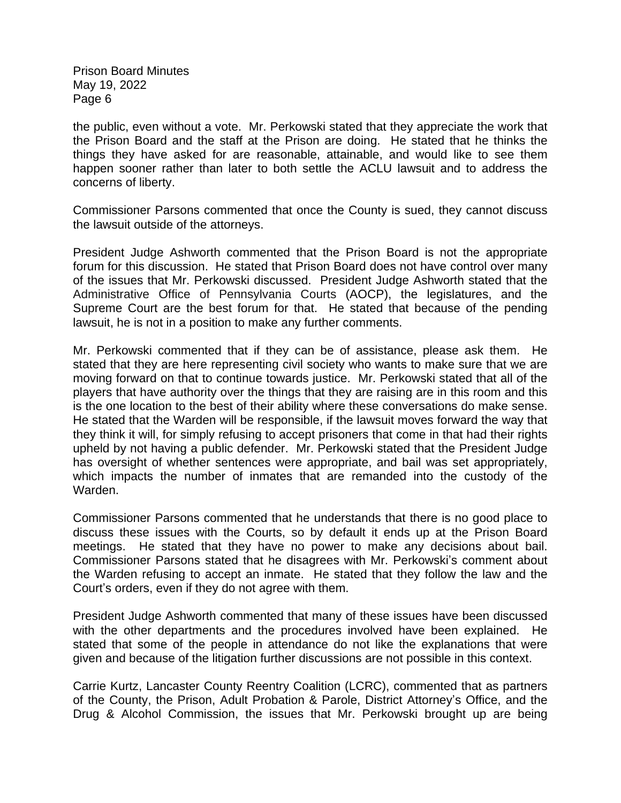the public, even without a vote. Mr. Perkowski stated that they appreciate the work that the Prison Board and the staff at the Prison are doing. He stated that he thinks the things they have asked for are reasonable, attainable, and would like to see them happen sooner rather than later to both settle the ACLU lawsuit and to address the concerns of liberty.

Commissioner Parsons commented that once the County is sued, they cannot discuss the lawsuit outside of the attorneys.

President Judge Ashworth commented that the Prison Board is not the appropriate forum for this discussion. He stated that Prison Board does not have control over many of the issues that Mr. Perkowski discussed. President Judge Ashworth stated that the Administrative Office of Pennsylvania Courts (AOCP), the legislatures, and the Supreme Court are the best forum for that. He stated that because of the pending lawsuit, he is not in a position to make any further comments.

Mr. Perkowski commented that if they can be of assistance, please ask them. He stated that they are here representing civil society who wants to make sure that we are moving forward on that to continue towards justice. Mr. Perkowski stated that all of the players that have authority over the things that they are raising are in this room and this is the one location to the best of their ability where these conversations do make sense. He stated that the Warden will be responsible, if the lawsuit moves forward the way that they think it will, for simply refusing to accept prisoners that come in that had their rights upheld by not having a public defender. Mr. Perkowski stated that the President Judge has oversight of whether sentences were appropriate, and bail was set appropriately, which impacts the number of inmates that are remanded into the custody of the Warden.

Commissioner Parsons commented that he understands that there is no good place to discuss these issues with the Courts, so by default it ends up at the Prison Board meetings. He stated that they have no power to make any decisions about bail. Commissioner Parsons stated that he disagrees with Mr. Perkowski's comment about the Warden refusing to accept an inmate. He stated that they follow the law and the Court's orders, even if they do not agree with them.

President Judge Ashworth commented that many of these issues have been discussed with the other departments and the procedures involved have been explained. He stated that some of the people in attendance do not like the explanations that were given and because of the litigation further discussions are not possible in this context.

Carrie Kurtz, Lancaster County Reentry Coalition (LCRC), commented that as partners of the County, the Prison, Adult Probation & Parole, District Attorney's Office, and the Drug & Alcohol Commission, the issues that Mr. Perkowski brought up are being